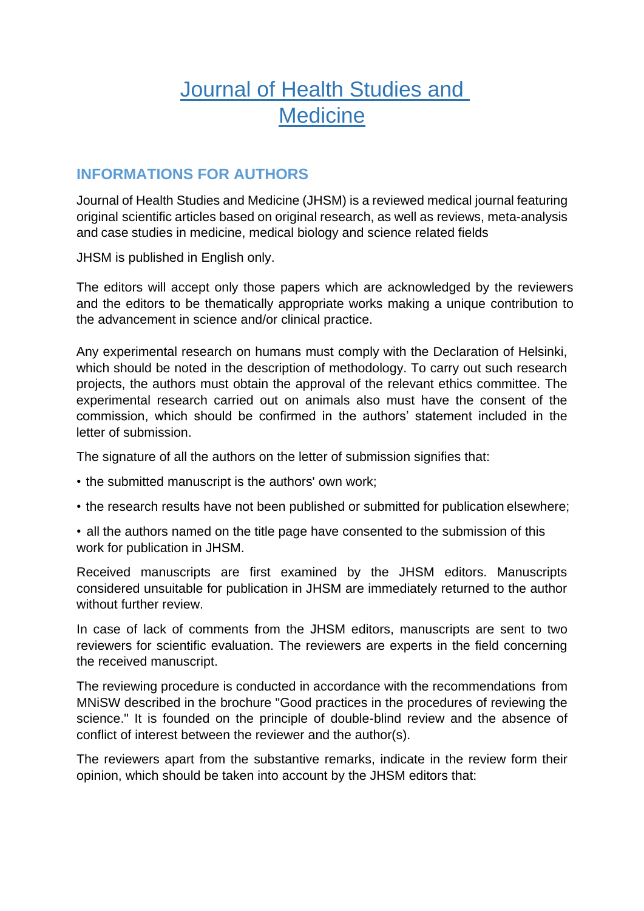# Journal of Health Studies and **Medicine**

# **INFORMATIONS FOR AUTHORS**

Journal of Health Studies and Medicine (JHSM) is a reviewed medical journal featuring original scientific articles based on original research, as well as reviews, meta-analysis and case studies in medicine, medical biology and science related fields

JHSM is published in English only.

The editors will accept only those papers which are acknowledged by the reviewers and the editors to be thematically appropriate works making a unique contribution to the advancement in science and/or clinical practice.

Any experimental research on humans must comply with the Declaration of Helsinki, which should be noted in the description of methodology. To carry out such research projects, the authors must obtain the approval of the relevant ethics committee. The experimental research carried out on animals also must have the consent of the commission, which should be confirmed in the authors' statement included in the letter of submission.

The signature of all the authors on the letter of submission signifies that:

- the submitted manuscript is the authors' own work;
- the research results have not been published or submitted for publication elsewhere;
- all the authors named on the title page have consented to the submission of this work for publication in JHSM.

Received manuscripts are first examined by the JHSM editors. Manuscripts considered unsuitable for publication in JHSM are immediately returned to the author without further review.

In case of lack of comments from the JHSM editors, manuscripts are sent to two reviewers for scientific evaluation. The reviewers are experts in the field concerning the received manuscript.

The reviewing procedure is conducted in accordance with the recommendations from MNiSW described in the brochure "Good practices in the procedures of reviewing the science." It is founded on the principle of double-blind review and the absence of conflict of interest between the reviewer and the author(s).

The reviewers apart from the substantive remarks, indicate in the review form their opinion, which should be taken into account by the JHSM editors that: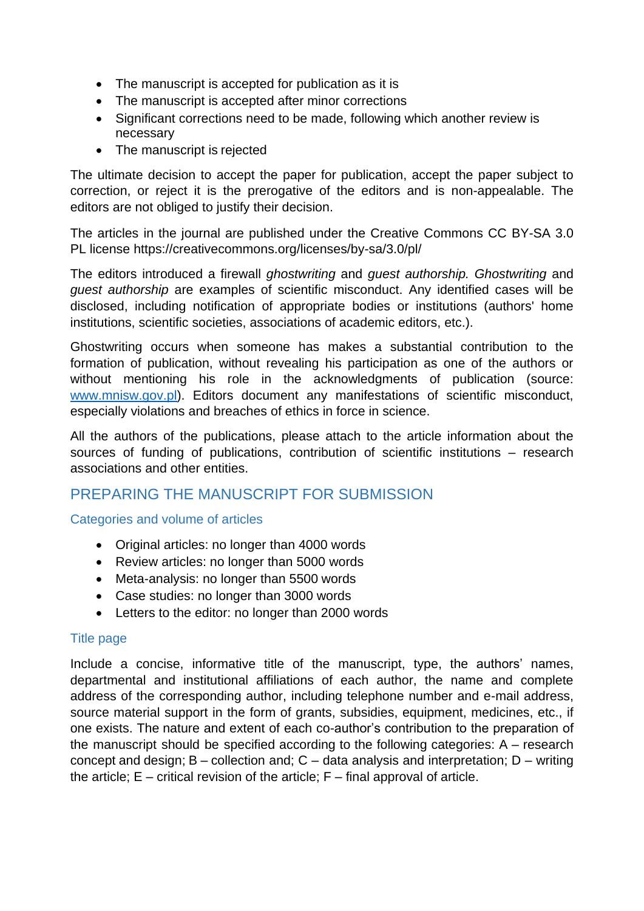- The manuscript is accepted for publication as it is
- The manuscript is accepted after minor corrections
- Significant corrections need to be made, following which another review is necessary
- The manuscript is rejected

The ultimate decision to accept the paper for publication, accept the paper subject to correction, or reject it is the prerogative of the editors and is non-appealable. The editors are not obliged to justify their decision.

The articles in the journal are published under the Creative Commons CC BY-SA 3.0 PL license https://creativecommons.org/licenses/by-sa/3.0/pl/

The editors introduced a firewall *ghostwriting* and *guest authorship. Ghostwriting* and *guest authorship* are examples of scientific misconduct. Any identified cases will be disclosed, including notification of appropriate bodies or institutions (authors' home institutions, scientific societies, associations of academic editors, etc.).

Ghostwriting occurs when someone has makes a substantial contribution to the formation of publication, without revealing his participation as one of the authors or without mentioning his role in the acknowledgments of publication (source: [www.mnisw.gov.pl\)](http://www.mnisw.gov.pl/). Editors document any manifestations of scientific misconduct, especially violations and breaches of ethics in force in science.

All the authors of the publications, please attach to the article information about the sources of funding of publications, contribution of scientific institutions – research associations and other entities.

# PREPARING THE MANUSCRIPT FOR SUBMISSION

Categories and volume of articles

- Original articles: no longer than 4000 words
- Review articles: no longer than 5000 words
- Meta-analysis: no longer than 5500 words
- Case studies: no longer than 3000 words
- Letters to the editor: no longer than 2000 words

## Title page

Include a concise, informative title of the manuscript, type, the authors' names, departmental and institutional affiliations of each author, the name and complete address of the corresponding author, including telephone number and e-mail address, source material support in the form of grants, subsidies, equipment, medicines, etc., if one exists. The nature and extent of each co-author's contribution to the preparation of the manuscript should be specified according to the following categories: A – research concept and design;  $B$  – collection and;  $C$  – data analysis and interpretation;  $D$  – writing the article;  $E$  – critical revision of the article;  $F$  – final approval of article.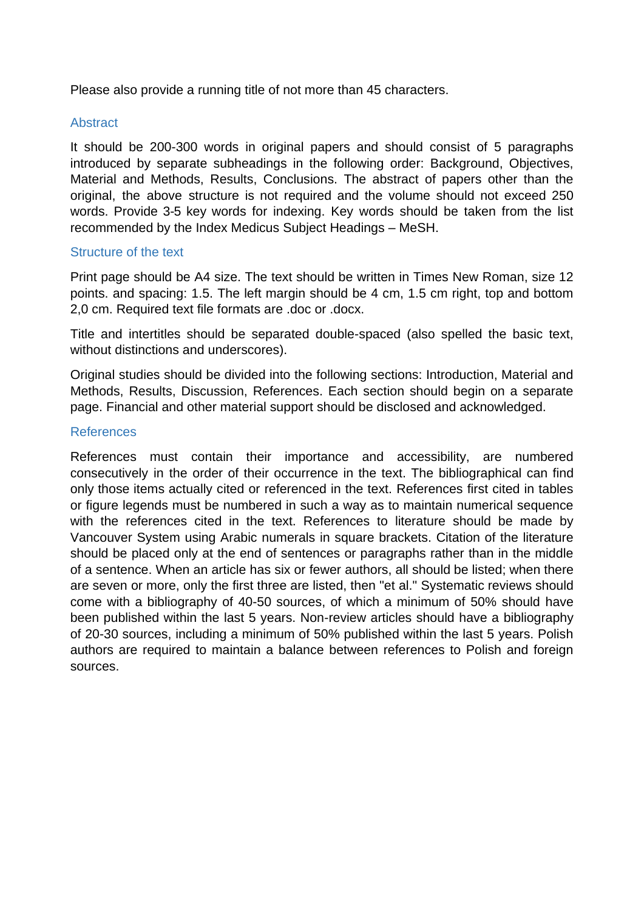Please also provide a running title of not more than 45 characters.

#### Abstract

It should be 200-300 words in original papers and should consist of 5 paragraphs introduced by separate subheadings in the following order: Background, Objectives, Material and Methods, Results, Conclusions. The abstract of papers other than the original, the above structure is not required and the volume should not exceed 250 words. Provide 3-5 key words for indexing. Key words should be taken from the list recommended by the Index Medicus Subject Headings – MeSH.

#### Structure of the text

Print page should be A4 size. The text should be written in Times New Roman, size 12 points. and spacing: 1.5. The left margin should be 4 cm, 1.5 cm right, top and bottom 2,0 cm. Required text file formats are .doc or .docx.

Title and intertitles should be separated double-spaced (also spelled the basic text, without distinctions and underscores).

Original studies should be divided into the following sections: Introduction, Material and Methods, Results, Discussion, References. Each section should begin on a separate page. Financial and other material support should be disclosed and acknowledged.

#### References

References must contain their importance and accessibility, are numbered consecutively in the order of their occurrence in the text. The bibliographical can find only those items actually cited or referenced in the text. References first cited in tables or figure legends must be numbered in such a way as to maintain numerical sequence with the references cited in the text. References to literature should be made by Vancouver System using Arabic numerals in square brackets. Citation of the literature should be placed only at the end of sentences or paragraphs rather than in the middle of a sentence. When an article has six or fewer authors, all should be listed; when there are seven or more, only the first three are listed, then "et al." Systematic reviews should come with a bibliography of 40-50 sources, of which a minimum of 50% should have been published within the last 5 years. Non-review articles should have a bibliography of 20-30 sources, including a minimum of 50% published within the last 5 years. Polish authors are required to maintain a balance between references to Polish and foreign sources.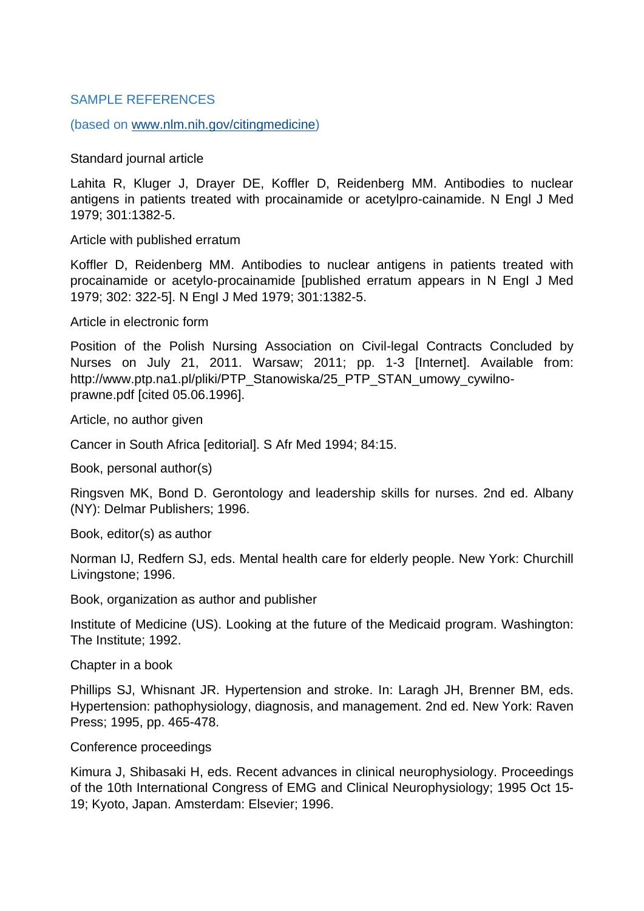#### SAMPLE REFERENCES

(based on [www.nlm.nih.gov/citingmedicine\)](http://www.nlm.nih.gov/citingmedicine)

Standard journal article

Lahita R, Kluger J, Drayer DE, Koffler D, Reidenberg MM. Antibodies to nuclear antigens in patients treated with procainamide or acetylpro-cainamide. N Engl J Med 1979; 301:1382-5.

Article with published erratum

Koffler D, Reidenberg MM. Antibodies to nuclear antigens in patients treated with procainamide or acetylo-procainamide [published erratum appears in N EngI J Med 1979; 302: 322-5]. N EngI J Med 1979; 301:1382-5.

Article in electronic form

Position of the Polish Nursing Association on Civil-legal Contracts Concluded by Nurses on July 21, 2011. Warsaw; 2011; pp. 1-3 [Internet]. Available from: http://www.ptp.na1.pl/pliki/PTP\_Stanowiska/25\_PTP\_STAN\_umowy\_cywilnoprawne.pdf [cited 05.06.1996].

Article, no author given

Cancer in South Africa [editorial]. S Afr Med 1994; 84:15.

Book, personal author(s)

Ringsven MK, Bond D. Gerontology and leadership skills for nurses. 2nd ed. Albany (NY): Delmar Publishers; 1996.

Book, editor(s) as author

Norman IJ, Redfern SJ, eds. Mental health care for elderly people. New York: Churchill Livingstone; 1996.

Book, organization as author and publisher

Institute of Medicine (US). Looking at the future of the Medicaid program. Washington: The Institute; 1992.

Chapter in a book

Phillips SJ, Whisnant JR. Hypertension and stroke. In: Laragh JH, Brenner BM, eds. Hypertension: pathophysiology, diagnosis, and management. 2nd ed. New York: Raven Press; 1995, pp. 465-478.

Conference proceedings

Kimura J, Shibasaki H, eds. Recent advances in clinical neurophysiology. Proceedings of the 10th International Congress of EMG and Clinical Neurophysiology; 1995 Oct 15- 19; Kyoto, Japan. Amsterdam: Elsevier; 1996.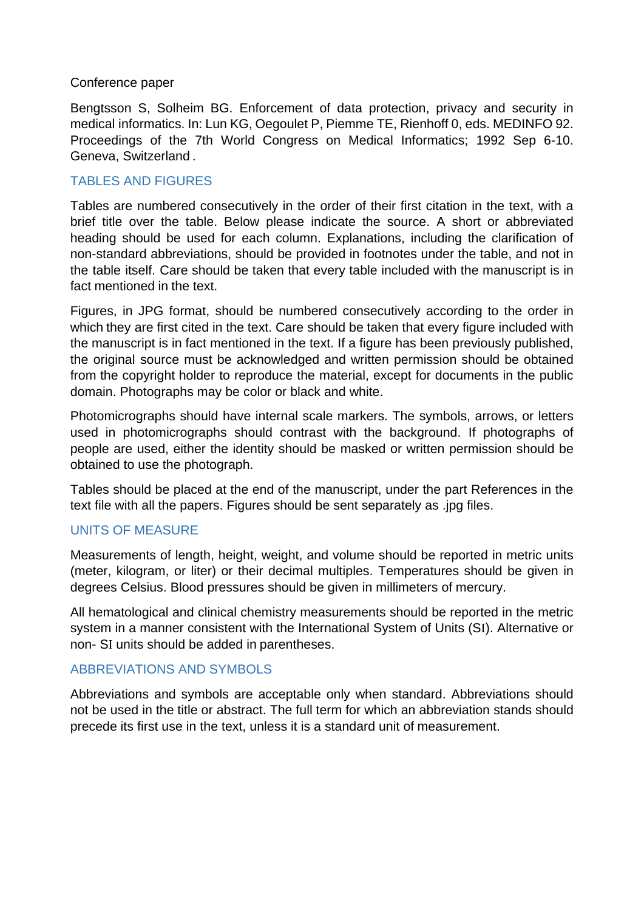#### Conference paper

Bengtsson S, Solheim BG. Enforcement of data protection, privacy and security in medical informatics. In: Lun KG, Oegoulet P, Piemme TE, Rienhoff 0, eds. MEDINFO 92. Proceedings of the 7th World Congress on Medical Informatics; 1992 Sep 6-10. Geneva, Switzerland .

## TABLES AND FIGURES

Tables are numbered consecutively in the order of their first citation in the text, with a brief title over the table. Below please indicate the source. A short or abbreviated heading should be used for each column. Explanations, including the clarification of non-standard abbreviations, should be provided in footnotes under the table, and not in the table itself. Care should be taken that every table included with the manuscript is in fact mentioned in the text.

Figures, in JPG format, should be numbered consecutively according to the order in which they are first cited in the text. Care should be taken that every figure included with the manuscript is in fact mentioned in the text. If a figure has been previously published, the original source must be acknowledged and written permission should be obtained from the copyright holder to reproduce the material, except for documents in the public domain. Photographs may be color or black and white.

Photomicrographs should have internal scale markers. The symbols, arrows, or letters used in photomicrographs should contrast with the background. If photographs of people are used, either the identity should be masked or written permission should be obtained to use the photograph.

Tables should be placed at the end of the manuscript, under the part References in the text file with all the papers. Figures should be sent separately as .jpg files.

#### UNITS OF MEASURE

Measurements of length, height, weight, and volume should be reported in metric units (meter, kilogram, or liter) or their decimal multiples. Temperatures should be given in degrees Celsius. Blood pressures should be given in millimeters of mercury.

All hematological and clinical chemistry measurements should be reported in the metric system in a manner consistent with the International System of Units (SI). Alternative or non- SI units should be added in parentheses.

## ABBREVIATIONS AND SYMBOLS

Abbreviations and symbols are acceptable only when standard. Abbreviations should not be used in the title or abstract. The full term for which an abbreviation stands should precede its first use in the text, unless it is a standard unit of measurement.